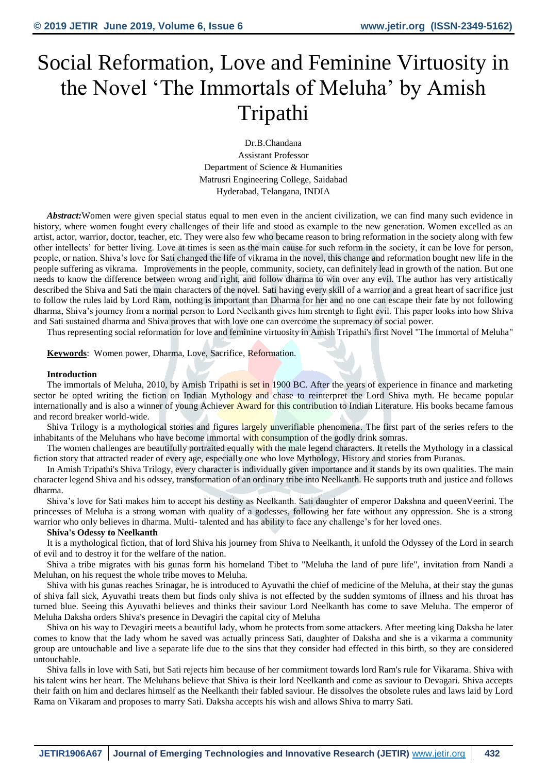# Social Reformation, Love and Feminine Virtuosity in the Novel 'The Immortals of Meluha' by Amish Tripathi

Dr.B.Chandana Assistant Professor Department of Science & Humanities Matrusri Engineering College, Saidabad Hyderabad, Telangana, INDIA

*Abstract:*Women were given special status equal to men even in the ancient civilization, we can find many such evidence in history, where women fought every challenges of their life and stood as example to the new generation. Women excelled as an artist, actor, warrior, doctor, teacher, etc. They were also few who became reason to bring reformation in the society along with few other intellects' for better living. Love at times is seen as the main cause for such reform in the society, it can be love for person, people, or nation. Shiva's love for Sati changed the life of vikrama in the novel, this change and reformation bought new life in the people suffering as vikrama. Improvements in the people, community, society, can definitely lead in growth of the nation. But one needs to know the difference between wrong and right, and follow dharma to win over any evil. The author has very artistically described the Shiva and Sati the main characters of the novel. Sati having every skill of a warrior and a great heart of sacrifice just to follow the rules laid by Lord Ram, nothing is important than Dharma for her and no one can escape their fate by not following dharma, Shiva's journey from a normal person to Lord Neelkanth gives him strentgh to fight evil. This paper looks into how Shiva and Sati sustained dharma and Shiva proves that with love one can overcome the supremacy of social power.

Thus representing social reformation for love and feminine virtuosity in Amish Tripathi's first Novel "The Immortal of Meluha"

**Keywords**: Women power, Dharma, Love, Sacrifice, Reformation.

#### **Introduction**

The immortals of Meluha, 2010, by Amish Tripathi is set in 1900 BC. After the years of experience in finance and marketing sector he opted writing the fiction on Indian Mythology and chase to reinterpret the Lord Shiva myth. He became popular internationally and is also a winner of young Achiever Award for this contribution to Indian Literature. His books became famous and record breaker world-wide.

Shiva Trilogy is a mythological stories and figures largely unverifiable phenomena. The first part of the series refers to the inhabitants of the Meluhans who have become immortal with consumption of the godly drink somras.

The women challenges are beautifully portraited equally with the male legend characters. It retells the Mythology in a classical fiction story that attracted reader of every age, especially one who love Mythology, History and stories from Puranas.

In Amish Tripathi's Shiva Trilogy, every character is individually given importance and it stands by its own qualities. The main character legend Shiva and his odssey, transformation of an ordinary tribe into Neelkanth. He supports truth and justice and follows dharma.

Shiva's love for Sati makes him to accept his destiny as Neelkanth. Sati daughter of emperor Dakshna and queenVeerini. The princesses of Meluha is a strong woman with quality of a godesses, following her fate without any oppression. She is a strong warrior who only believes in dharma. Multi- talented and has ability to face any challenge's for her loved ones.

#### **Shiva's Odessy to Neelkanth**

It is a mythological fiction, that of lord Shiva his journey from Shiva to Neelkanth, it unfold the Odyssey of the Lord in search of evil and to destroy it for the welfare of the nation.

Shiva a tribe migrates with his gunas form his homeland Tibet to "Meluha the land of pure life", invitation from Nandi a Meluhan, on his request the whole tribe moves to Meluha.

Shiva with his gunas reaches Srinagar, he is introduced to Ayuvathi the chief of medicine of the Meluha, at their stay the gunas of shiva fall sick, Ayuvathi treats them but finds only shiva is not effected by the sudden symtoms of illness and his throat has turned blue. Seeing this Ayuvathi believes and thinks their saviour Lord Neelkanth has come to save Meluha. The emperor of Meluha Daksha orders Shiva's presence in Devagiri the capital city of Meluha

Shiva on his way to Devagiri meets a beautiful lady, whom he protects from some attackers. After meeting king Daksha he later comes to know that the lady whom he saved was actually princess Sati, daughter of Daksha and she is a vikarma a community group are untouchable and live a separate life due to the sins that they consider had effected in this birth, so they are considered untouchable.

Shiva falls in love with Sati, but Sati rejects him because of her commitment towards lord Ram's rule for Vikarama. Shiva with his talent wins her heart. The Meluhans believe that Shiva is their lord Neelkanth and come as saviour to Devagari. Shiva accepts their faith on him and declares himself as the Neelkanth their fabled saviour. He dissolves the obsolete rules and laws laid by Lord Rama on Vikaram and proposes to marry Sati. Daksha accepts his wish and allows Shiva to marry Sati.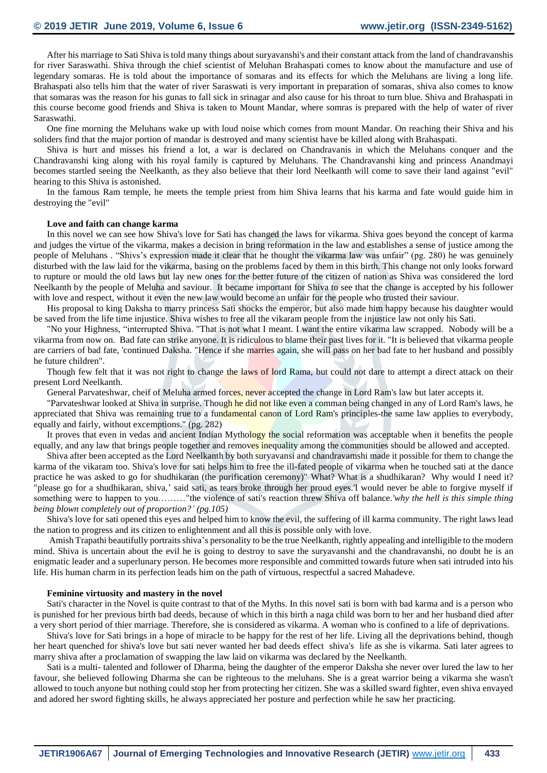After his marriage to Sati Shiva is told many things about suryavanshi's and their constant attack from the land of chandravanshis for river Saraswathi. Shiva through the chief scientist of Meluhan Brahaspati comes to know about the manufacture and use of legendary somaras. He is told about the importance of somaras and its effects for which the Meluhans are living a long life. Brahaspati also tells him that the water of river Saraswati is very important in preparation of somaras, shiva also comes to know that somaras was the reason for his gunas to fall sick in srinagar and also cause for his throat to turn blue. Shiva and Brahaspati in this course become good friends and Shiva is taken to Mount Mandar, where somras is prepared with the help of water of river Saraswathi.

One fine morning the Meluhans wake up with loud noise which comes from mount Mandar. On reaching their Shiva and his soliders find that the major portion of mandar is destroyed and many scientist have be killed along with Brahaspati.

Shiva is hurt and misses his friend a lot, a war is declared on Chandravanis in which the Meluhans conquer and the Chandravanshi king along with his royal family is captured by Meluhans. The Chandravanshi king and princess Anandmayi becomes startled seeing the Neelkanth, as they also believe that their lord Neelkanth will come to save their land against "evil" hearing to this Shiva is astonished.

In the famous Ram temple, he meets the temple priest from him Shiva learns that his karma and fate would guide him in destroying the "evil"

### **Love and faith can change karma**

In this novel we can see how Shiva's love for Sati has changed the laws for vikarma. Shiva goes beyond the concept of karma and judges the virtue of the vikarma, makes a decision in bring reformation in the law and establishes a sense of justice among the people of Meluhans . "Shivs's expression made it clear that he thought the vikarma law was unfair" (pg. 280) he was genuinely disturbed with the law laid for the vikarma, basing on the problems faced by them in this birth. This change not only looks forward to rupture or mould the old laws but lay new ones for the better future of the citizen of nation as Shiva was considered the lord Neelkanth by the people of Meluha and saviour. It became important for Shiva to see that the change is accepted by his follower with love and respect, without it even the new law would become an unfair for the people who trusted their saviour.

His proposal to king Daksha to marry princess Sati shocks the emperor, but also made him happy because his daughter would be saved from the life time injustice. Shiva wishes to free all the vikaram people from the injustice law not only his Sati.

"No your Highness, "interrupted Shiva. "That is not what I meant. I want the entire vikarma law scrapped. Nobody will be a vikarma from now on. Bad fate can strike anyone. It is ridiculous to blame their past lives for it. "It is believed that vikarma people are carriers of bad fate, 'continued Daksha. "Hence if she marries again, she will pass on her bad fate to her husband and possibly he future children".

Though few felt that it was not right to change the laws of lord Rama, but could not dare to attempt a direct attack on their present Lord Neelkanth.

General Parvateshwar, cheif of Meluha armed forces, never accepted the change in Lord Ram's law but later accepts it.

"Parvateshwar looked at Shiva in surprise. Though he did not like even a comman being changed in any of Lord Ram's laws, he appreciated that Shiva was remaining true to a fundamental canon of Lord Ram's principles-the same law applies to everybody, equally and fairly, without excemptions." (pg. 282)

It proves that even in vedas and ancient Indian Mythology the social reformation was acceptable when it benefits the people equally, and any law that brings people together and removes inequality among the communities should be allowed and accepted.

Shiva after been accepted as the Lord Neelkanth by both suryavansi and chandravamshi made it possible for them to change the karma of the vikaram too. Shiva's love for sati helps him to free the ill-fated people of vikarma when he touched sati at the dance practice he was asked to go for shudhikaran (the purification ceremony)" What? What is a shudhikaran? Why would I need it? "please go for a shudhikaran, shiva,' said sati, as tears broke through her proud eyes.'I would never be able to forgive myself if something were to happen to you………"the violence of sati's reaction threw Shiva off balance.*'why the hell is this simple thing being blown completely out of proportion?' (pg.105)*

Shiva's love for sati opened this eyes and helped him to know the evil, the suffering of ill karma community. The right laws lead the nation to progress and its citizen to enlightenment and all this is possible only with love.

Amish Trapathi beautifully portraits shiva's personality to be the true Neelkanth, rightly appealing and intelligible to the modern mind. Shiva is uncertain about the evil he is going to destroy to save the suryavanshi and the chandravanshi, no doubt he is an enigmatic leader and a superlunary person. He becomes more responsible and committed towards future when sati intruded into his life. His human charm in its perfection leads him on the path of virtuous, respectful a sacred Mahadeve.

#### **Feminine virtuosity and mastery in the novel**

Sati's character in the Novel is quite contrast to that of the Myths. In this novel sati is born with bad karma and is a person who is punished for her previous birth bad deeds, because of which in this birth a naga child was born to her and her husband died after a very short period of thier marriage. Therefore, she is considered as vikarma. A woman who is confined to a life of deprivations.

Shiva's love for Sati brings in a hope of miracle to be happy for the rest of her life. Living all the deprivations behind, though her heart quenched for shiva's love but sati never wanted her bad deeds effect shiva's life as she is vikarma. Sati later agrees to marry shiva after a proclamation of swapping the law laid on vikarma was declared by the Neelkanth.

Sati is a multi- talented and follower of Dharma, being the daughter of the emperor Daksha she never over lured the law to her favour, she believed following Dharma she can be righteous to the meluhans. She is a great warrior being a vikarma she wasn't allowed to touch anyone but nothing could stop her from protecting her citizen. She was a skilled sward fighter, even shiva envayed and adored her sword fighting skills, he always appreciated her posture and perfection while he saw her practicing.